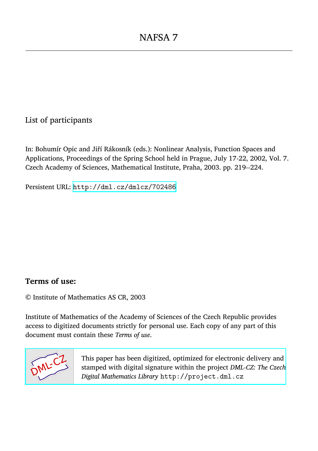## List of participants

In: Bohumír Opic and Jiří Rákosník (eds.): Nonlinear Analysis, Function Spaces and Applications, Proceedings of the Spring School held in Prague, July 17-22, 2002, Vol. 7. Czech Academy of Sciences, Mathematical Institute, Praha, 2003. pp. 219--224.

Persistent URL: <http://dml.cz/dmlcz/702486>

## **Terms of use:**

© Institute of Mathematics AS CR, 2003

Institute of Mathematics of the Academy of Sciences of the Czech Republic provides access to digitized documents strictly for personal use. Each copy of any part of this document must contain these *Terms of use*.



[This paper has been digitized, optimized for electronic delivery and](http://project.dml.cz) stamped with digital signature within the project *DML-CZ: The Czech Digital Mathematics Library* http://project.dml.cz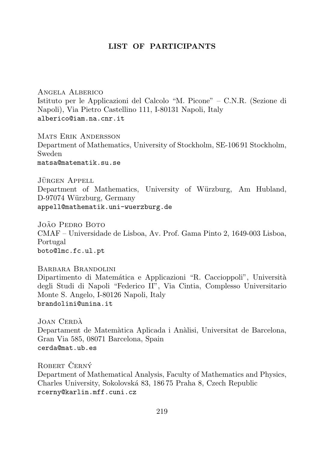## LIST OF PARTICIPANTS

Angela Alberico Istituto per le Applicazioni del Calcolo "M. Picone" – C.N.R. (Sezione di Napoli), Via Pietro Castellino 111, I-80131 Napoli, Italy alberico@iam.na.cnr.it

Mats Erik Andersson Department of Mathematics, University of Stockholm, SE-106 91 Stockholm, Sweden matsa@matematik.su.se

JÜRGEN APPELL Department of Mathematics, University of Würzburg, Am Hubland, D-97074 Würzburg, Germany appell@mathematik.uni-wuerzburg.de

João Pedro Boto CMAF – Universidade de Lisboa, Av. Prof. Gama Pinto 2, 1649-003 Lisboa, Portugal boto@lmc.fc.ul.pt

Barbara Brandolini Dipartimento di Matemática e Applicazioni "R. Caccioppoli", Università degli Studi di Napoli "Federico II", Via Cintia, Complesso Universitario Monte S. Angelo, I-80126 Napoli, Italy brandolini@unina.it

JOAN CERDÀ Departament de Matem`atica Aplicada i An`alisi, Universitat de Barcelona, Gran Via 585, 08071 Barcelona, Spain cerda@mat.ub.es

ROBERT ČERNÝ Department of Mathematical Analysis, Faculty of Mathematics and Physics, Charles University, Sokolovsk´a 83, 186 75 Praha 8, Czech Republic rcerny@karlin.mff.cuni.cz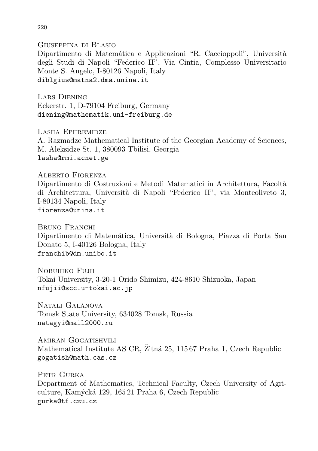Giuseppina di Blasio Dipartimento di Matemática e Applicazioni "R. Caccioppoli", Università degli Studi di Napoli "Federico II", Via Cintia, Complesso Universitario Monte S. Angelo, I-80126 Napoli, Italy diblgius@matna2.dma.unina.it

Lars Diening Eckerstr. 1, D-79104 Freiburg, Germany diening@mathematik.uni-freiburg.de

Lasha Ephremidze A. Razmadze Mathematical Institute of the Georgian Academy of Sciences, M. Aleksidze St. 1, 380093 Tbilisi, Georgia lasha@rmi.acnet.ge

ALBERTO FIORENZA Dipartimento di Costruzioni e Metodi Matematici in Architettura, Facolt`a di Architettura, Universit`a di Napoli "Federico II", via Monteoliveto 3, I-80134 Napoli, Italy fiorenza@unina.it

Bruno Franchi Dipartimento di Matemática, Università di Bologna, Piazza di Porta San Donato 5, I-40126 Bologna, Italy franchib@dm.unibo.it

Nobuhiko Fujii Tokai University, 3-20-1 Orido Shimizu, 424-8610 Shizuoka, Japan nfujii@scc.u-tokai.ac.jp

Natali Galanova Tomsk State University, 634028 Tomsk, Russia natagyi@mail2000.ru

AMIRAN GOGATISHVILI Mathematical Institute AS CR, Žitná 25, 115 67 Praha 1, Czech Republic gogatish@math.cas.cz

PETR GURKA Department of Mathematics, Technical Faculty, Czech University of Agriculture, Kam´yck´a 129, 165 21 Praha 6, Czech Republic gurka@tf.czu.cz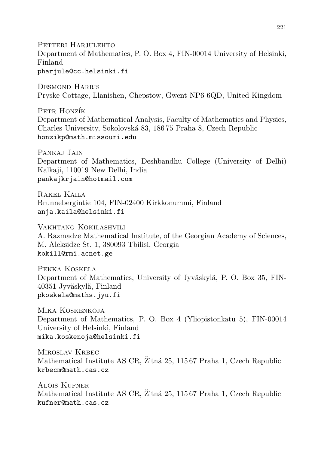Petteri Harjulehto Department of Mathematics, P. O. Box 4, FIN-00014 University of Helsinki, Finland pharjule@cc.helsinki.fi

Desmond Harris Pryske Cottage, Llanishen, Chepstow, Gwent NP6 6QD, United Kingdom

PETR HONZÍK Department of Mathematical Analysis, Faculty of Mathematics and Physics, Charles University, Sokolovsk´a 83, 186 75 Praha 8, Czech Republic honzikp@math.missouri.edu

Pankaj Jain Department of Mathematics, Deshbandhu College (University of Delhi) Kalkaji, 110019 New Delhi, India pankajkrjain@hotmail.com

Rakel Kaila Brunnebergintie 104, FIN-02400 Kirkkonummi, Finland anja.kaila@helsinki.fi

Vakhtang Kokilashvili A. Razmadze Mathematical Institute, of the Georgian Academy of Sciences, M. Aleksidze St. 1, 380093 Tbilisi, Georgia kokill@rmi.acnet.ge

Pekka Koskela Department of Mathematics, University of Jyväskylä, P. O. Box 35, FIN-40351 Jyväskylä, Finland pkoskela@maths.jyu.fi

Mika Koskenkoja Department of Mathematics, P. O. Box 4 (Yliopistonkatu 5), FIN-00014 University of Helsinki, Finland mika.koskenoja@helsinki.fi

MIROSLAV KRBEC Mathematical Institute AS CR, Žitná 25, 115 67 Praha 1, Czech Republic krbecm@math.cas.cz

Alois Kufner Mathematical Institute AS CR, Žitná 25, 115 67 Praha 1, Czech Republic kufner@math.cas.cz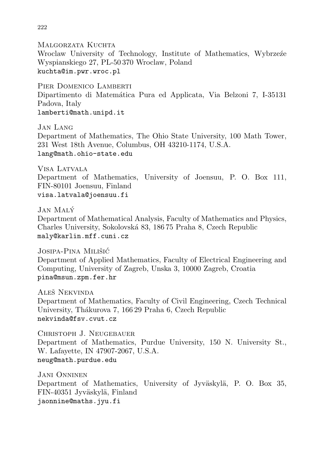MALGORZATA KUCHTA Wroclaw University of Technology, Institute of Mathematics, Wybrzeźe Wyspianskiego 27, PL-50 370 Wroclaw, Poland kuchta@im.pwr.wroc.pl

PIER DOMENICO LAMBERTI Dipartimento di Matem´atica Pura ed Applicata, Via Belzoni 7, I-35131 Padova, Italy lamberti@math.unipd.it

Jan Lang Department of Mathematics, The Ohio State University, 100 Math Tower, 231 West 18th Avenue, Columbus, OH 43210-1174, U.S.A. lang@math.ohio-state.edu

Visa Latvala Department of Mathematics, University of Joensuu, P. O. Box 111, FIN-80101 Joensuu, Finland visa.latvala@joensuu.fi

Jan Maly´ Department of Mathematical Analysis, Faculty of Mathematics and Physics, Charles University, Sokolovsk´a 83, 186 75 Praha 8, Czech Republic maly@karlin.mff.cuni.cz

Josipa-Pina Milišić Department of Applied Mathematics, Faculty of Electrical Engineering and Computing, University of Zagreb, Unska 3, 10000 Zagreb, Croatia pina@msun.zpm.fer.hr

ALEŠ NEKVINDA Department of Mathematics, Faculty of Civil Engineering, Czech Technical University, Thákurova 7, 166 29 Praha 6, Czech Republic nekvinda@fsv.cvut.cz

Christoph J. Neugebauer Department of Mathematics, Purdue University, 150 N. University St., W. Lafayette, IN 47907-2067, U.S.A. neug@math.purdue.edu

Jani Onninen Department of Mathematics, University of Jyväskylä, P. O. Box 35, FIN-40351 Jyväskylä, Finland jaonnine@maths.jyu.fi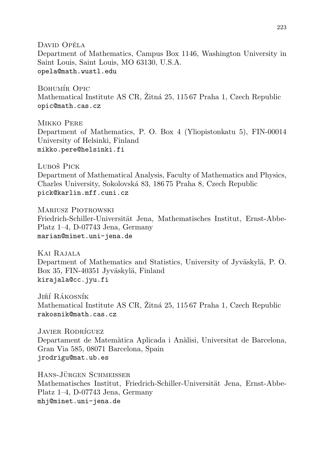David Opěla Department of Mathematics, Campus Box 1146, Washington University in Saint Louis, Saint Louis, MO 63130, U.S.A. opela@math.wustl.edu

BOHUMÍR OPIC Mathematical Institute AS CR,  $\tilde{\text{Z}t}$  25, 115 67 Praha 1, Czech Republic opic@math.cas.cz

Mikko Pere Department of Mathematics, P. O. Box 4 (Yliopistonkatu 5), FIN-00014 University of Helsinki, Finland mikko.pere@helsinki.fi

Luboš Pick Department of Mathematical Analysis, Faculty of Mathematics and Physics, Charles University, Sokolovsk´a 83, 186 75 Praha 8, Czech Republic pick@karlin.mff.cuni.cz

Mariusz Piotrowski Friedrich-Schiller-Universität Jena, Mathematisches Institut, Ernst-Abbe-Platz 1–4, D-07743 Jena, Germany marian@minet.uni-jena.de

Kai Rajala Department of Mathematics and Statistics, University of Jyväskylä, P. O. Box 35, FIN-40351 Jyväskylä, Finland kirajala@cc.jyu.fi

JIŘÍ RÁKOSNÍK Mathematical Institute AS CR,  $\ddot{\text{Z}}$ ttná 25, 115 67 Praha 1, Czech Republic rakosnik@math.cas.cz

JAVIER RODRÍGUEZ Departament de Matemàtica Aplicada i Anàlisi, Universitat de Barcelona, Gran Via 585, 08071 Barcelona, Spain jrodrigu@mat.ub.es

HANS-JÜRGEN SCHMEISSER Mathematisches Institut, Friedrich-Schiller-Universität Jena, Ernst-Abbe-Platz 1–4, D-07743 Jena, Germany mhj@minet.uni-jena.de